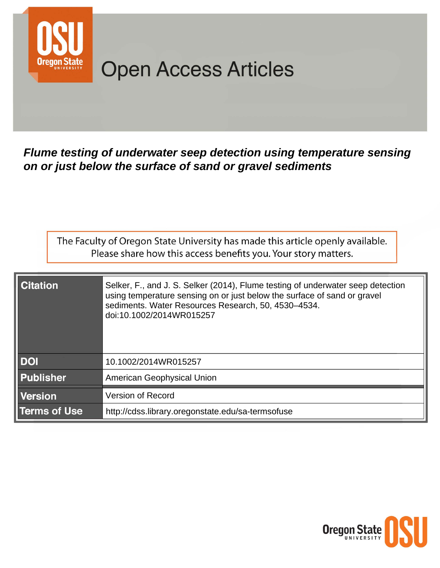

# **Open Access Articles**

Flume testing of underwater seep detection using temperature sensing on or just below the surface of sand or gravel sediments

The Faculty of Oregon State University has made this article openly available. Please share how this access benefits you. Your story matters.

| <b>Citation</b>     | Selker, F., and J. S. Selker (2014), Flume testing of underwater seep detection<br>using temperature sensing on or just below the surface of sand or gravel<br>sediments. Water Resources Research, 50, 4530-4534.<br>doi:10.1002/2014WR015257 |  |  |  |  |
|---------------------|------------------------------------------------------------------------------------------------------------------------------------------------------------------------------------------------------------------------------------------------|--|--|--|--|
| <b>DOI</b>          | 10.1002/2014WR015257                                                                                                                                                                                                                           |  |  |  |  |
| <b>Publisher</b>    | <b>American Geophysical Union</b>                                                                                                                                                                                                              |  |  |  |  |
| <b>Version</b>      | <b>Version of Record</b>                                                                                                                                                                                                                       |  |  |  |  |
| <b>Terms of Use</b> | http://cdss.library.oregonstate.edu/sa-termsofuse                                                                                                                                                                                              |  |  |  |  |

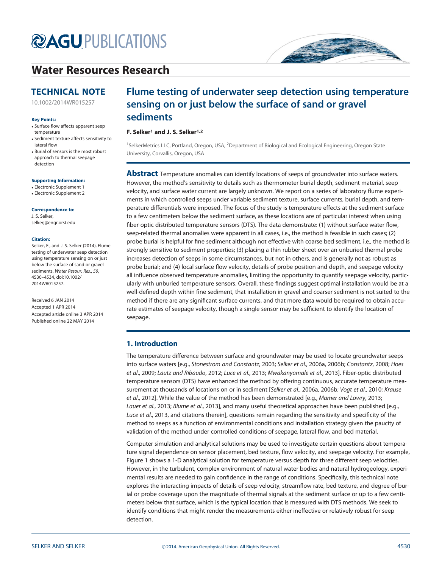# **@AGU[PUBLICATIONS](http://publications.agu.org/)**

## [Water Resources Research](http://onlinelibrary.wiley.com/journal/10.1002/(ISSN)1944-7973/)

## TECHNICAL NOTE

[10.1002/2014WR015257](http://dx.doi.org/10.1002/2014WR015257)

## Key Points:

- Surface flow affects apparent seep temperature
- Sediment texture affects sensitivity to lateral flow
- Burial of sensors is the most robust approach to thermal seepage detection

## Supporting Information:

- Electronic Supplement 1
- Electronic Supplement 2

## Correspondence to:

J. S. Selker, selkerj@engr.orst.edu

### Citation:

Selker, F., and J. S. Selker (2014), Flume testing of underwater seep detection using temperature sensing on or just below the surface of sand or gravel sediments, Water Resour. Res., 50, 4530–4534, doi:10.1002/ 2014WR015257.

Received 6 JAN 2014 Accepted 1 APR 2014 Accepted article online 3 APR 2014 Published online 22 MAY 2014

## Flume testing of underwater seep detection using temperature sensing on or just below the surface of sand or gravel sediments

## F. Selker<sup>1</sup> and J. S. Selker<sup>1,2</sup>

<sup>1</sup>SelkerMetrics LLC, Portland, Oregon, USA, <sup>2</sup>Department of Biological and Ecological Engineering, Oregon State University, Corvallis, Oregon, USA

**Abstract** Temperature anomalies can identify locations of seeps of groundwater into surface waters. However, the method's sensitivity to details such as thermometer burial depth, sediment material, seep velocity, and surface water current are largely unknown. We report on a series of laboratory flume experiments in which controlled seeps under variable sediment texture, surface currents, burial depth, and temperature differentials were imposed. The focus of the study is temperature effects at the sediment surface to a few centimeters below the sediment surface, as these locations are of particular interest when using fiber-optic distributed temperature sensors (DTS). The data demonstrate: (1) without surface water flow, seep-related thermal anomalies were apparent in all cases, i.e., the method is feasible in such cases; (2) probe burial is helpful for fine sediment although not effective with coarse bed sediment, i.e., the method is strongly sensitive to sediment properties; (3) placing a thin rubber sheet over an unburied thermal probe increases detection of seeps in some circumstances, but not in others, and is generally not as robust as probe burial; and (4) local surface flow velocity, details of probe position and depth, and seepage velocity all influence observed temperature anomalies, limiting the opportunity to quantify seepage velocity, particularly with unburied temperature sensors. Overall, these findings suggest optimal installation would be at a well-defined depth within fine sediment, that installation in gravel and coarser sediment is not suited to the method if there are any significant surface currents, and that more data would be required to obtain accurate estimates of seepage velocity, though a single sensor may be sufficient to identify the location of seepage.

## 1. Introduction

The temperature difference between surface and groundwater may be used to locate groundwater seeps into surface waters [e.g., Stonestrom and Constantz, 2003; Selker et al., 2006a, 2006b; Constantz, 2008; Hoes et al., 2009; Lautz and Ribaudo, 2012; Luce et al., 2013; Mwakanyamale et al., 2013]. Fiber-optic distributed temperature sensors (DTS) have enhanced the method by offering continuous, accurate temperature measurement at thousands of locations on or in sediment [Selker et al., 2006a, 2006b; Vogt et al., 2010; Krause et al., 2012]. While the value of the method has been demonstrated [e.g., Mamer and Lowry, 2013; Lauer et al., 2013; Blume et al., 2013], and many useful theoretical approaches have been published [e.g., Luce et al., 2013, and citations therein], questions remain regarding the sensitivity and specificity of the method to seeps as a function of environmental conditions and installation strategy given the paucity of validation of the method under controlled conditions of seepage, lateral flow, and bed material.

Computer simulation and analytical solutions may be used to investigate certain questions about temperature signal dependence on sensor placement, bed texture, flow velocity, and seepage velocity. For example, Figure 1 shows a 1-D analytical solution for temperature versus depth for three different seep velocities. However, in the turbulent, complex environment of natural water bodies and natural hydrogeology, experimental results are needed to gain confidence in the range of conditions. Specifically, this technical note explores the interacting impacts of details of seep velocity, streamflow rate, bed texture, and degree of burial or probe coverage upon the magnitude of thermal signals at the sediment surface or up to a few centimeters below that surface, which is the typical location that is measured with DTS methods. We seek to identify conditions that might render the measurements either ineffective or relatively robust for seep detection.

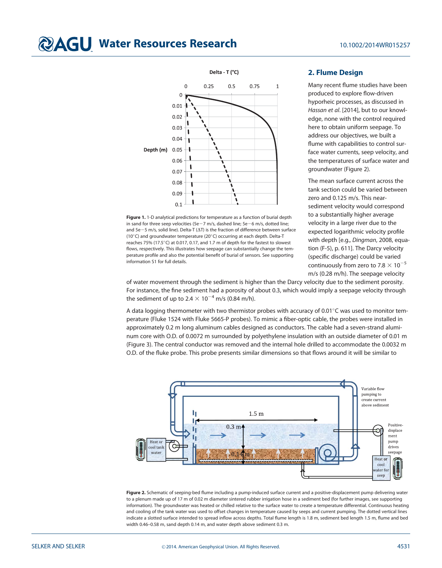## **@AGU Water Resources Research** 10.1002/2014WR015257



Figure 1. 1-D analytical predictions for temperature as a function of burial depth in sand for three seep velocities (5e $-7$  m/s, dashed line; 5e $-6$  m/s, dotted line; and  $5e-5$  m/s, solid line). Delta-T ( $\Delta T$ ) is the fraction of difference between surface (10 $^{\circ}$ C) and groundwater temperature (20 $^{\circ}$ C) occurring at each depth. Delta-T reaches 75% (17.5°C) at 0.017, 0.17, and 1.7 m of depth for the fastest to slowest flows, respectively. This illustrates how seepage can substantially change the temperature profile and also the potential benefit of burial of sensors. See supporting information S1 for full details.

## 2. Flume Design

Many recent flume studies have been produced to explore flow-driven hyporheic processes, as discussed in Hassan et al. [2014], but to our knowledge, none with the control required here to obtain uniform seepage. To address our objectives, we built a flume with capabilities to control surface water currents, seep velocity, and the temperatures of surface water and groundwater (Figure 2).

The mean surface current across the tank section could be varied between zero and 0.125 m/s. This nearsediment velocity would correspond to a substantially higher average velocity in a large river due to the expected logarithmic velocity profile with depth [e.g., Dingman, 2008, equation (F-5), p. 611]. The Darcy velocity (specific discharge) could be varied continuously from zero to 7.8  $\times$  10<sup>-5</sup> m/s (0.28 m/h). The seepage velocity

of water movement through the sediment is higher than the Darcy velocity due to the sediment porosity. For instance, the fine sediment had a porosity of about 0.3, which would imply a seepage velocity through the sediment of up to 2.4  $\times$  10<sup>-4</sup> m/s (0.84 m/h).

A data logging thermometer with two thermistor probes with accuracy of 0.01 $^{\circ}$ C was used to monitor temperature (Fluke 1524 with Fluke 5665-P probes). To mimic a fiber-optic cable, the probes were installed in approximately 0.2 m long aluminum cables designed as conductors. The cable had a seven-strand aluminum core with O.D. of 0.0072 m surrounded by polyethylene insulation with an outside diameter of 0.01 m (Figure 3). The central conductor was removed and the internal hole drilled to accommodate the 0.0032 m O.D. of the fluke probe. This probe presents similar dimensions so that flows around it will be similar to



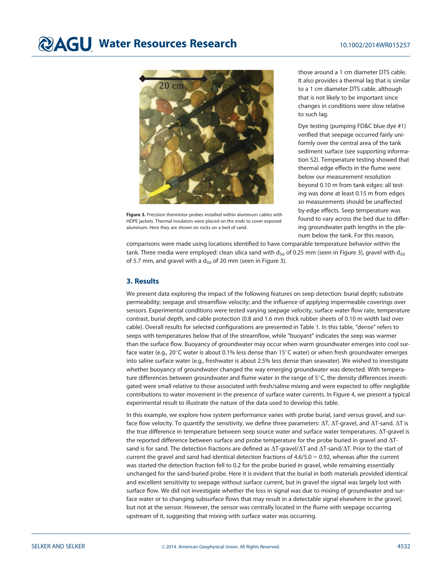# **@AGU Water Resources Research** 10.1002/2014WR015257



Figure 3. Precision thermistor probes installed within aluminum cables with HDPE jackets. Thermal insulators were placed on the ends to cover exposed aluminum. Here they are shown on rocks on a bed of sand.

those around a 1 cm diameter DTS cable. It also provides a thermal lag that is similar to a 1 cm diameter DTS cable, although that is not likely to be important since changes in conditions were slow relative to such lag.

Dye testing (pumping FD&C blue dye #1) verified that seepage occurred fairly uniformly over the central area of the tank sediment surface (see supporting information S2). Temperature testing showed that thermal edge effects in the flume were below our measurement resolution beyond 0.10 m from tank edges: all testing was done at least 0.15 m from edges so measurements should be unaffected by edge effects. Seep temperature was found to vary across the bed due to differing groundwater path lengths in the plenum below the tank. For this reason,

comparisons were made using locations identified to have comparable temperature behavior within the tank. Three media were employed: clean silica sand with  $d_{50}$  of 0.25 mm (seen in Figure 3), gravel with  $d_{50}$ of 5.7 mm, and gravel with a  $d_{50}$  of 20 mm (seen in Figure 3).

## 3. Results

We present data exploring the impact of the following features on seep detection: burial depth; substrate permeability; seepage and streamflow velocity; and the influence of applying impermeable coverings over sensors. Experimental conditions were tested varying seepage velocity, surface water flow rate, temperature contrast, burial depth, and cable protection (0.8 and 1.6 mm thick rubber sheets of 0.10 m width laid over cable). Overall results for selected configurations are presented in Table 1. In this table, ''dense'' refers to seeps with temperatures below that of the streamflow, while ''buoyant'' indicates the seep was warmer than the surface flow. Buoyancy of groundwater may occur when warm groundwater emerges into cool surface water (e.g., 20°C water is about 0.1% less dense than 15°C water) or when fresh groundwater emerges into saline surface water (e.g., freshwater is about 2.5% less dense than seawater). We wished to investigate whether buoyancy of groundwater changed the way emerging groundwater was detected. With temperature differences between groundwater and flume water in the range of  $5^{\circ}$ C, the density differences investigated were small relative to those associated with fresh/saline mixing and were expected to offer negligible contributions to water movement in the presence of surface water currents. In Figure 4, we present a typical experimental result to illustrate the nature of the data used to develop this table.

In this example, we explore how system performance varies with probe burial, sand versus gravel, and surface flow velocity. To quantify the sensitivity, we define three parameters:  $\Delta T$ ,  $\Delta T$ -gravel, and  $\Delta T$ -sand.  $\Delta T$  is the true difference in temperature between seep source water and surface water temperatures.  $\Delta T$ -gravel is the reported difference between surface and probe temperature for the probe buried in gravel and  $\Delta T$ sand is for sand. The detection fractions are defined as  $\Delta T$ -gravel/ $\Delta T$  and  $\Delta T$ -sand/ $\Delta T$ . Prior to the start of current the gravel and sand had identical detection fractions of  $4.6/5.0 = 0.92$ , whereas after the current was started the detection fraction fell to 0.2 for the probe buried in gravel, while remaining essentially unchanged for the sand-buried probe. Here it is evident that the burial in both materials provided identical and excellent sensitivity to seepage without surface current, but in gravel the signal was largely lost with surface flow. We did not investigate whether the loss in signal was due to mixing of groundwater and surface water or to changing subsurface flows that may result in a detectable signal elsewhere in the gravel, but not at the sensor. However, the sensor was centrally located in the flume with seepage occurring upstream of it, suggesting that mixing with surface water was occurring.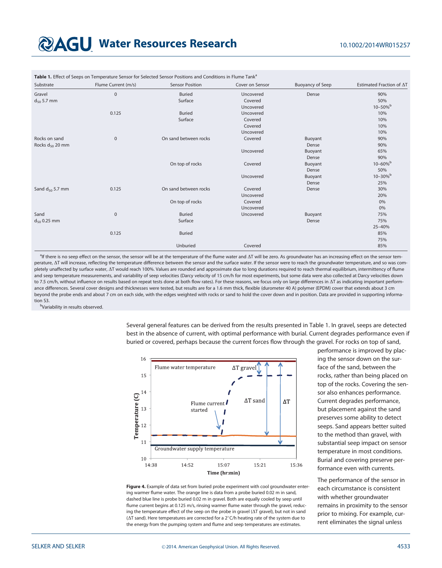## **@AGU Water Resources Research** 10.1002/2014WR015257

| Substrate            | Flume Current (m/s) | <b>Sensor Position</b> | Cover on Sensor | <b>Buoyancy of Seep</b> | Estimated Fraction of $\Delta T$ |
|----------------------|---------------------|------------------------|-----------------|-------------------------|----------------------------------|
| Gravel               | $\mathbf 0$         | <b>Buried</b>          | Uncovered       | Dense                   | 90%                              |
| $d_{50}$ 5.7 mm      |                     | Surface                | Covered         |                         | 50%                              |
|                      |                     |                        | Uncovered       |                         | $10 - 50\%$                      |
|                      | 0.125               | <b>Buried</b>          | Uncovered       |                         | 10%                              |
|                      |                     | Surface                | Covered         |                         | 10%                              |
|                      |                     |                        | Covered         |                         | 10%                              |
|                      |                     |                        | Uncovered       |                         | 10%                              |
| Rocks on sand        | $\mathbf 0$         | On sand between rocks  | Covered         | Buoyant                 | 90%                              |
| Rocks $d_{50}$ 20 mm |                     |                        |                 | Dense                   | 90%                              |
|                      |                     |                        | Uncovered       | Buoyant                 | 65%                              |
|                      |                     |                        |                 | Dense                   | 90%                              |
|                      |                     | On top of rocks        | Covered         | Buoyant                 | $10 - 60\%$                      |
|                      |                     |                        |                 | Dense                   | 50%                              |
|                      |                     |                        | Uncovered       | Buoyant                 | $10 - 30%$                       |
|                      |                     |                        |                 | Dense                   | 25%                              |
| Sand $d_{50}$ 5.7 mm | 0.125               | On sand between rocks  | Covered         | Dense                   | 30%                              |
|                      |                     |                        | Uncovered       |                         | 20%                              |
|                      |                     | On top of rocks        | Covered         |                         | 0%                               |
|                      |                     |                        | Uncovered       |                         | 0%                               |
| Sand                 | $\mathbf 0$         | <b>Buried</b>          | Uncovered       | Buoyant                 | 75%                              |
| $d_{50}$ 0.25 mm     |                     | Surface                |                 | Dense                   | 75%                              |
|                      |                     |                        |                 |                         | 25-40%                           |
|                      | 0.125               | <b>Buried</b>          |                 |                         | 85%                              |
|                      |                     |                        |                 |                         | 75%                              |
|                      |                     | Unburied               | Covered         |                         | 85%                              |

Table 1. Effect of Seeps on Temperature Sensor for Selected Sensor Positions and Conditions in Flume Tank<sup>a</sup>

alf there is no seep effect on the sensor, the sensor will be at the temperature of the flume water and  $\Delta T$  will be zero. As groundwater has an increasing effect on the sensor temperature,  $\Delta T$  will increase, reflecting the temperature difference between the sensor and the surface water. If the sensor were to reach the groundwater temperature, and so was completely unaffected by surface water,  $\Delta T$  would reach 100%. Values are rounded and approximate due to long durations required to reach thermal equilibrium, intermittency of flume and seep temperature measurements, and variability of seep velocities (Darcy velocity of 15 cm/h for most experiments, but some data were also collected at Darcy velocities down to 7.5 cm/h, without influence on results based on repeat tests done at both flow rates). For these reasons, we focus only on large differences in  $\Delta T$  as indicating important performance differences. Several cover designs and thicknesses were tested, but results are for a 1.6 mm thick, flexible (durometer 40 A) polymer (EPDM) cover that extends about 3 cm beyond the probe ends and about 7 cm on each side, with the edges weighted with rocks or sand to hold the cover down and in position. Data are provided in supporting information S3.

**b**Variability in results observed.

Several general features can be derived from the results presented in Table 1. In gravel, seeps are detected best in the absence of current, with optimal performance with burial. Current degrades performance even if buried or covered, perhaps because the current forces flow through the gravel. For rocks on top of sand,



Figure 4. Example of data set from buried probe experiment with cool groundwater entering warmer flume water. The orange line is data from a probe buried 0.02 m in sand, dashed blue line is probe buried 0.02 m in gravel. Both are equally cooled by seep until flume current begins at 0.125 m/s, rinsing warmer flume water through the gravel, reducing the temperature effect of the seep on the probe in gravel  $(\Delta T \text{ travel})$ , but not in sand ( $\Delta T$  sand). Here temperatures are corrected for a  $2^{\circ}$ C/h heating rate of the system due to the energy from the pumping system and flume and seep temperatures are estimates.

performance is improved by placing the sensor down on the surface of the sand, between the rocks, rather than being placed on top of the rocks. Covering the sensor also enhances performance. Current degrades performance, but placement against the sand preserves some ability to detect seeps. Sand appears better suited to the method than gravel, with substantial seep impact on sensor temperature in most conditions. Burial and covering preserve performance even with currents.

The performance of the sensor in each circumstance is consistent with whether groundwater remains in proximity to the sensor prior to mixing. For example, current eliminates the signal unless